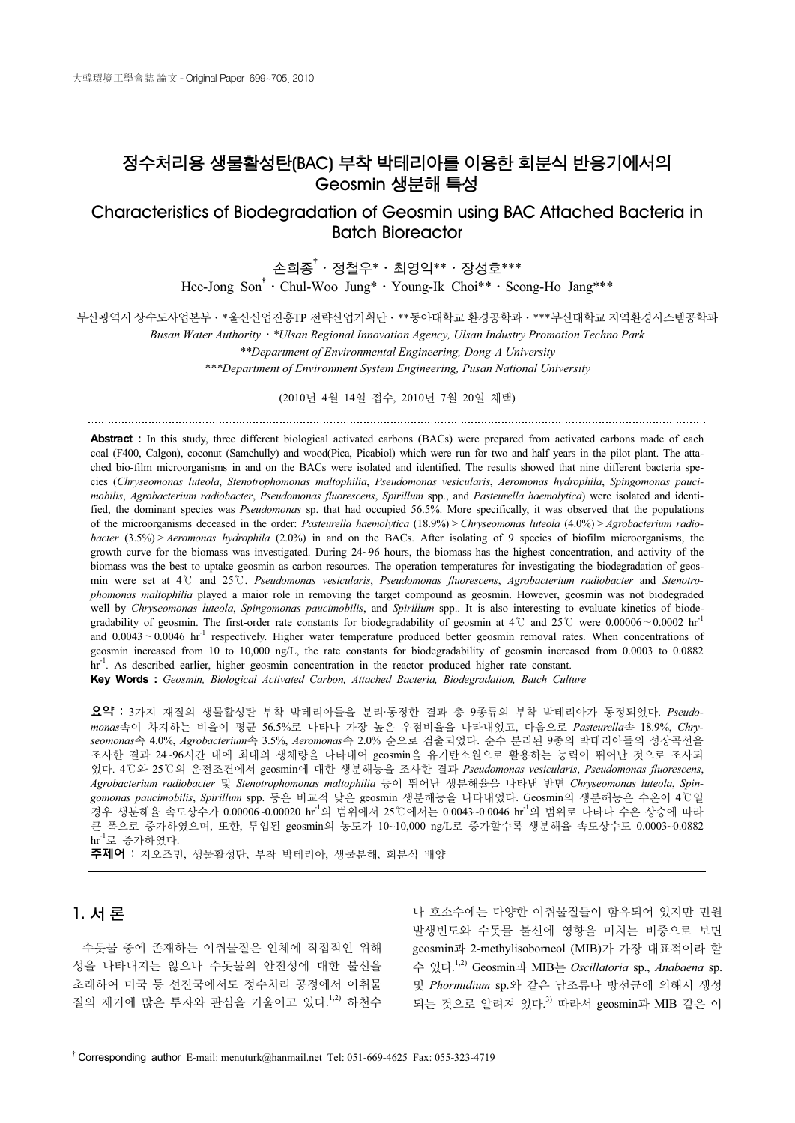# 정수처리용 생물활성탄(BAC) 부착 박테리아를 이용한 회분식 반응기에서의 Geosmin 생분해 특성

# Characteristics of Biodegradation of Geosmin using BAC Attached Bacteria in Batch Bioreactor

손희종 <sup>†</sup>ㆍ정철우\*ㆍ최영익\*\*ㆍ장성호\*\*\*

Hee-Jong Son† ․Chul-Woo Jung\*․Young-Ik Choi\*\*․Seong-Ho Jang\*\*\*

부산광역시 상수도사업본부 · \*울산산업진흥TP 전략산업기획단 · \*\*동아대학교 환경공학과 · \*\*\*부산대학교 지역환경시스템공학과

*Busan Water Authority*․*\*Ulsan Regional Innovation Agency, Ulsan Industry Promotion Techno Park*

*\*\*Department of Environmental Engineering, Dong-A University \*\*\*Department of Environment System Engineering, Pusan National University*

(2010년 4월 14일 접수, 2010년 7월 20일 채택)

**Abstract :** In this study, three different biological activated carbons (BACs) were prepared from activated carbons made of each coal (F400, Calgon), coconut (Samchully) and wood(Pica, Picabiol) which were run for two and half years in the pilot plant. The attached bio-film microorganisms in and on the BACs were isolated and identified. The results showed that nine different bacteria species (*Chryseomonas luteola*, *Stenotrophomonas maltophilia*, *Pseudomonas vesicularis*, *Aeromonas hydrophila*, *Spingomonas paucimobilis*, *Agrobacterium radiobacter*, *Pseudomonas fluorescens*, *Spirillum* spp., and *Pasteurella haemolytica*) were isolated and identified, the dominant species was *Pseudomonas* sp. that had occupied 56.5%. More specifically, it was observed that the populations of the microorganisms deceased in the order: *Pasteurella haemolytica* (18.9%) > *Chryseomonas luteola* (4.0%) > *Agrobacterium radiobacter* (3.5%) > *Aeromonas hydrophila* (2.0%) in and on the BACs. After isolating of 9 species of biofilm microorganisms, the growth curve for the biomass was investigated. During 24~96 hours, the biomass has the highest concentration, and activity of the biomass was the best to uptake geosmin as carbon resources. The operation temperatures for investigating the biodegradation of geosmin were set at 4℃ and 25℃. *Pseudomonas vesicularis*, *Pseudomonas fluorescens*, *Agrobacterium radiobacter* and *Stenotrophomonas maltophilia* played a maior role in removing the target compound as geosmin. However, geosmin was not biodegraded well by *Chryseomonas luteola*, *Spingomonas paucimobilis*, and *Spirillum* spp.. It is also interesting to evaluate kinetics of biodegradability of geosmin. The first-order rate constants for biodegradability of geosmin at 4℃ and 25℃ were 0.00006∼0.0002 hr<sup>-1</sup> and 0.0043∼0.0046 hr<sup>-1</sup> respectively. Higher water temperature produced better geosmin removal rates. When concentrations of geosmin increased from 10 to 10,000 ng/L, the rate constants for biodegradability of geosmin increased from 0.0003 to 0.0882  $hr^{-1}$ . As described earlier, higher geosmin concentration in the reactor produced higher rate constant.

**Key Words :** *Geosmin, Biological Activated Carbon, Attached Bacteria, Biodegradation, Batch Culture*

요약 : 3가지 재질의 생물활성탄 부착 박테리아들을 분리·동정한 결과 총 9종류의 부착 박테리아가 동정되었다. Pseudo*monas*ᗮᯕ₉ḡ⦹۵እᮉᯕ⠪Ɂ56.5%ಽӹ┡ӹaᰆ׳ᮡᬑᱱእᮉᮥӹ┡ԕᨩŁ, ݅ᮭᮝಽ*Pasteurella*ᗮ18.9%, *Chry*seomonas속 4.0%, Agrobacterium속 3.5%, Aeromonas속 2.0% 순으로 검출되었다. 순수 분리된 9종의 박테리아들의 성장곡선을 조사한 결과 24~96시간 내에 최대의 생체량을 나타내어 geosmin을 유기탄소원으로 활용하는 능력이 뛰어난 것으로 조사되 었다. 4℃와 25℃의 운전조건에서 geosmin에 대한 생분해능을 조사한 결과 Pseudomonas vesicularis, Pseudomonas fluorescens, Agrobacterium radiobacter 및 Stenotrophomonas maltophilia 등이 뛰어난 생분해율을 나타낸 반면 Chryseomonas luteola, Spingomonas paucimobilis, *Spirillum* spp. 듯은 비교적 낮은 geosmin 생부해능을 나타내었다. Geosmin의 생부해능은 수온이 4℃일 경우 생분해율 속도상수가 0.00006~0.00020 hr<sup>1</sup>의 범위에서 25℃에서는 0.0043~0.0046 hr<sup>1</sup>의 범위로 나타나 수온 상승에 따라 큰 폭으로 증가하였으며, 또한, 투입된 geosmin의 농도가 10~10,000 ng/L로 증가할수록 생분해율 속도상수도 0.0003~0.0882  $\mathrm{hr}^{-1}$ 로 증가하였다.

주제어 : 지오즈민, 생물활성탄, 부착 박테리아, 생물분해, 회분식 배양

# 1. 서 론

수돗물 중에 존재하는 이취물질은 인체에 직접적인 위해 성을 나타내지는 않으나 수돗물의 안전성에 대한 불신을 초래하여 미국 등 선진국에서도 정수처리 공정에서 이취물 질의 제거에 많은 투자와 관심을 기울이고 있다.<sup>1,2)</sup> 하천수

나 호소수에는 다양한 이취물질들이 함유되어 있지만 민원 발생빈도와 수돗물 불신에 영향을 미치는 비중으로 보면 geosmin과 2-methylisoborneol (MIB)가 가장 대표적이라 할 수 있다.<sup>1,2)</sup> Geosmin과 MIB는 Oscillatoria sp., *Anabaena* sp. 및 Phormidium sp.와 같은 남조류나 방선균에 의해서 생성 되는 것으로 알려져 있다.<sup>3)</sup> 따라서 geosmin과 MIB 같은 이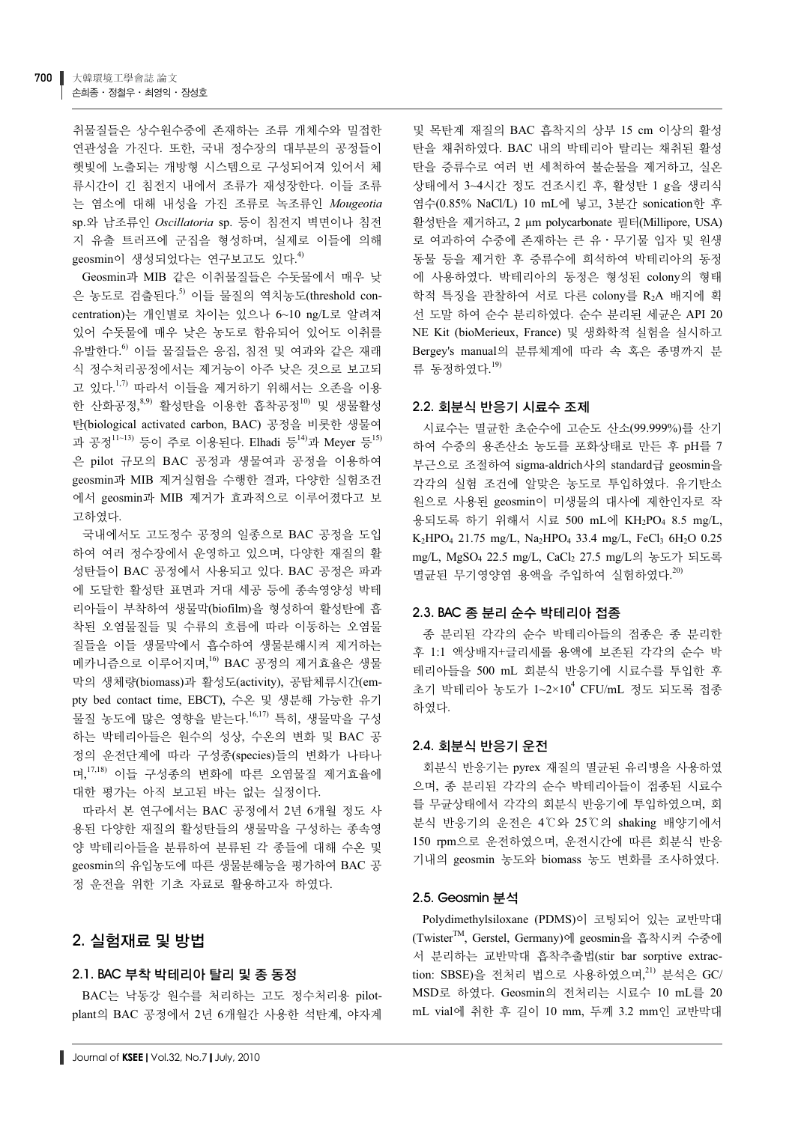취뭄질들은 상수워수중에 존재하는 조류 개체수와 밀접하 연관성을 가진다. 또한, 국내 정수장의 대부분의 공정들이 햇빛에 노출되는 개방형 시스템으로 구성되어져 있어서 체 류시간이 긴 침전지 내에서 조류가 재성장한다. 이들 조류 는 염소에 대해 내성을 가진 조류로 녹조류인 Mougeotia sp.와 남조류인 Oscillatoria sp. 등이 침전지 벽면이나 침전 지 유출 트러프에 군집을 형성하며, 실제로 이들에 의해 geosmin이 생성되었다는 연구보고도 있다.<sup>4)</sup>

Geosmin과 MIB 같은 이취물질들은 수돗물에서 매우 낮 은 농도로 검출된다.<sup>5)</sup> 이들 물질의 역치농도(threshold concentration)는 개인별로 차이는 있으나 6~10 ng/L로 알려져 있어 수돗물에 매우 낮은 농도로 함유되어 있어도 이취를 유발한다.<sup>6)</sup> 이들 물질들은 응집, 침전 및 여과와 같은 재래 식 정수처리공정에서는 제거능이 아주 낮은 것으로 보고되 고 있다.<sup>1,7)</sup> 따라서 이들을 제거하기 위해서는 오존을 이용 한 산화공정,<sup>8,9)</sup> 활성탄을 이용한 흡착공정<sup>10)</sup> 및 생물활성 탄(biological activated carbon, BAC) 공정을 비롯한 생물여 과 공정<sup>11~13)</sup> 등이 주로 이용된다. Elhadi 등<sup>14)</sup>과 Meyer 등<sup>15)</sup> 은 pilot 규모의 BAC 공정과 생물여과 공정을 이용하여 geosmin과 MIB 제거실험을 수행한 결과, 다양한 실험조건 에서 geosmin과 MIB 제거가 효과적으로 이루어졌다고 보 고하였다.

국내에서도 고도정수 공정의 일종으로 BAC 공정을 도입 하여 여러 정수장에서 운영하고 있으며, 다양한 재질의 활 성탄들이 BAC 공정에서 사용되고 있다. BAC 공정은 파과 에 도달한 활성탄 표면과 거대 세공 등에 종속영양성 박테 리아들이 부착하여 생물막(biofilm)을 형성하여 활성탄에 흡 착된 오염물질들 및 수류의 흐름에 따라 이동하는 오염물 질들을 이들 생물막에서 흡수하여 생물분해시켜 제거하는 메카니즘으로 이루어지며,<sup>16)</sup> BAC 공정의 제거효율은 생물 막의 생체량(biomass)과 활성도(activity), 공탑체류시간(empty bed contact time, EBCT), 수온 및 생분해 가능한 유기 물질 농도에 많은 영향을 받는다.<sup>16,17)</sup> 특히, 생물막을 구성 하는 박테리아들은 원수의 성상, 수온의 변화 및 BAC 공 정의 운전단계에 따라 구성종(species)들의 변화가 나타나 며, 17,18) 이들 구성종의 변화에 따른 오염물질 제거효율에 대한 평가는 아직 보고된 바는 없는 실정이다.

따라서 본 연구에서는 BAC 공정에서 2년 6개월 정도 사 용된 다양한 재질의 활성탄들의 생물막을 구성하는 종속영 양 박테리아들을 분류하여 분류된 각 종들에 대해 수온 및 geosmin의 유입농도에 따른 생물분해능을 평가하여 BAC 공 정 우저을 위한 기초 자료로 활용하고자 하였다.

# 2. 실험재료 및 방법

## 2.1. BAC 부착 박테리아 탈리 및 종 동정

BAC는 낙동강 원수를 처리하는 고도 정수처리용 pilotplant의 BAC 공정에서 2년 6개월간 사용한 석탄계, 야자계

및 목탄계 재질의 BAC 흡착지의 상부 15 cm 이상의 활성 탄을 채취하였다. BAC 내의 박테리아 탈리는 채취된 활성 탄을 증류수로 여러 번 세척하여 불순물을 제거하고, 실온 상태에서 3~4시간 정도 건조시킨 후, 활성탄 1 g을 생리식 염수(0.85% NaCl/L) 10 mL에 넣고, 3분간 sonication한 후 활성탄을 제거하고, 2 μm polycarbonate 필터(Millipore, USA) 로 여과하여 수중에 존재하는 큰 유 · 무기물 입자 및 원생 동물 등을 제거한 후 증류수에 희석하여 박테리아의 동정 에 사용하였다. 박테리아의 동정은 형성된 colony의 형태 학적 특징을 관찰하여 서로 다른 colony를 R2A 배지에 획 선 도말 하여 순수 분리하였다. 순수 분리된 세균은 API 20 NE Kit (bioMerieux, France) 및 생화학적 실험을 실시하고 Bergey's manual의 분류체계에 따라 속 혹은 종명까지 분 류 동정하였다.<sup>19)</sup>

## 2.2. 회분식 반응기 시료수 조제

시료수는 멸균한 초순수에 고순도 산소(99.999%)를 산기 하여 수중의 용존산소 농도를 포화상태로 만든 후 pH를 7 부근으로 조절하여 sigma-aldrich사의 standard급 geosmin을 각각의 실험 조건에 알맞은 농도로 투입하였다. 유기탄소 원으로 사용된 geosmin이 미생물의 대사에 제한인자로 작 용되도록 하기 위해서 시료 500 mL에 KH<sub>2</sub>PO<sub>4</sub> 8.5 mg/L,  $K_2HPO_4$  21.75 mg/L, Na<sub>2</sub>HPO<sub>4</sub> 33.4 mg/L, FeCl<sub>3</sub> 6H<sub>2</sub>O 0.25 mg/L, MgSO<sub>4</sub> 22.5 mg/L, CaCl<sub>2</sub> 27.5 mg/L의 농도가 되도록 멸균된 무기영양염 용액을 주입하여 실험하였다.<sup>20)</sup>

## 2.3. BAC 종 분리 순수 박테리아 접종

종 분리된 각각의 순수 박테리아들의 접종은 종 분리한 후 1:1 액상배지+글리세롤 용액에 보존된 각각의 순수 박 테리아들을 500 mL 회분식 반응기에 시료수를 투입한 후 초기 박테리아 농도가 1~2×10<sup>4</sup> CFU/mL 정도 되도록 접종 하였다.

## 2.4. 회분식 반응기 운전

회분식 반응기는 pyrex 재질의 멸균된 유리병을 사용하였 으며, 종 분리된 각각의 순수 박테리아들이 접종된 시료수 를 무균상태에서 각각의 회분식 반응기에 투입하였으며, 회 분식 반응기의 운전은 4℃와 25℃의 shaking 배양기에서 150 rpm으로 운전하였으며, 운전시간에 따른 회분식 반응 기내의 geosmin 농도와 biomass 농도 변화를 조사하였다.

## 2.5. Geosmin 분석

Polydimethylsiloxane (PDMS)이 코팅되어 있는 교반막대 (Twister<sup>TM</sup>, Gerstel, Germany)에 geosmin을 흡착시켜 수중에 서 분리하는 교반막대 흡착추출법(stir bar sorptive extraction: SBSE)을 전처리 법으로 사용하였으며,<sup>21)</sup> 분석은 GC/ MSD로 하였다. Geosmin의 전처리는 시료수 10 mL를 20 mL vial에 취한 후 길이 10 mm, 두께 3.2 mm인 교반막대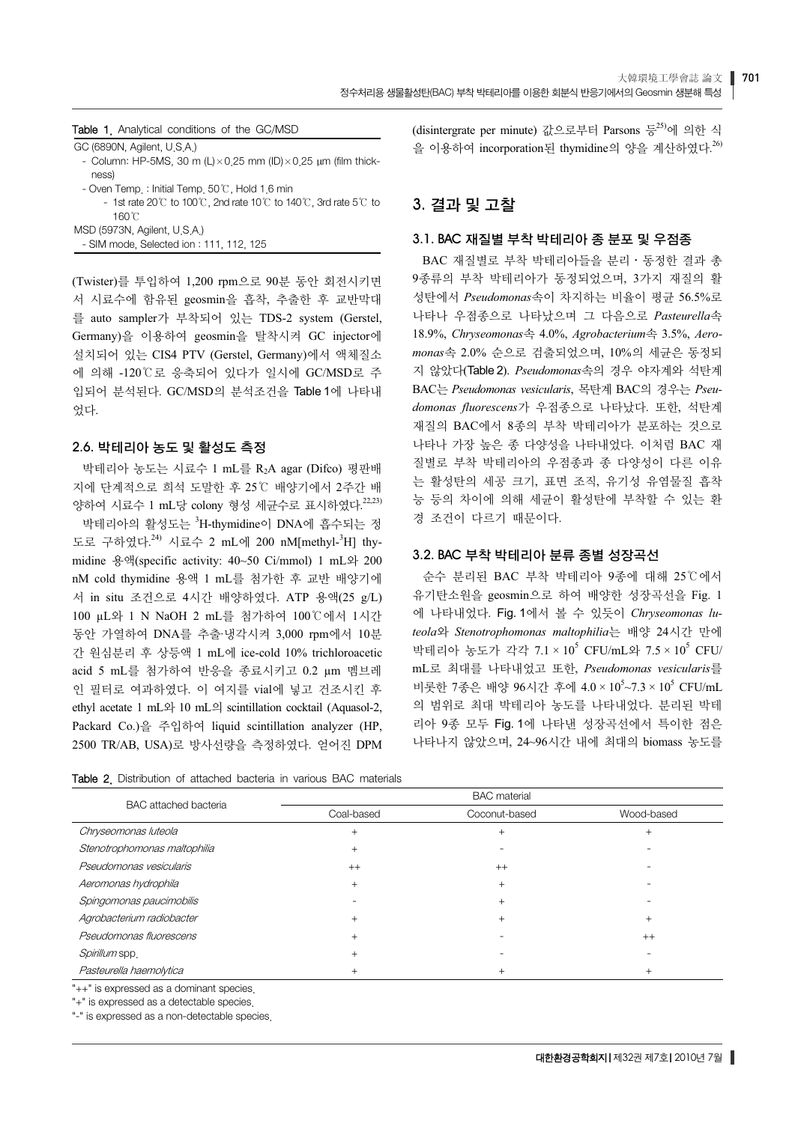#### Table 1. Analytical conditions of the GC/MSD

GC (6890N, Agilent, U S A)

- Column: HP-5MS, 30 m (L) $\times$ 0.25 mm (ID) $\times$ 0.25 µm (film thickness)
- Oven Temp : Initial Temp 50℃, Hold 1.6 min
- 1st rate 20℃ to 100℃, 2nd rate 10℃ to 140℃, 3rd rate 5℃ to 160°C

MSD (5973N, Agilent, U.S.A.) - SIM mode. Selected ion: 111, 112, 125

(Twister)를 투입하여 1,200 rpm으로 90분 동안 회전시키면 서 시료수에 함유된 geosmin을 흡착, 추출한 후 교반막대 를 auto sampler가 부착되어 있는 TDS-2 system (Gerstel, Germany)을 이용하여 geosmin을 탈착시켜 GC injector에 설치되어 있는 CIS4 PTV (Gerstel, Germany)에서 액체질소 에 의해 -120℃로 응축되어 있다가 일시에 GC/MSD로 주 입되어 분석된다. GC/MSD의 분석조건을 Table 1에 나타내 었다.

### 2.6. 박테리아 농도 및 활성도 측정

박테리아 농도는 시료수 1 mL를 R2A agar (Difco) 평판배 지에 단계적으로 희석 도말한 후 25℃ 배양기에서 2주간 배 양하여 시료수 1 mL당 colony 형성 세균수로 표시하였다.<sup>22,23)</sup> 박테리아의 활성도는 <sup>3</sup>H-thymidine이 DNA에 흡수되는 정 도로 구하였다.<sup>24)</sup> 시료수 2 mL에 200 nM[methyl-<sup>3</sup>H] thymidine 용액(specific activity: 40~50 Ci/mmol) 1 mL와 200 nM cold thymidine 용액 1 mL를 첨가한 후 교반 배양기에 서 in situ 조건으로 4시간 배양하였다. ATP 용액(25 g/L) 100 µL와 1 N NaOH 2 mL를 첨가하여 100℃에서 1시간 동안 가열하여 DNA를 추출·냉각시켜 3,000 rpm에서 10분 간 원심분리 후 상등액 1 mL에 ice-cold 10% trichloroacetic acid 5 mL를 첨가하여 반응을 종료시키고 0.2 μm 멤브레 인 필터로 여과하였다. 이 여지를 vial에 넣고 건조시킨 후 ethyl acetate 1 mL와 10 mL의 scintillation cocktail (Aquasol-2, Packard Co.)을 주입하여 liquid scintillation analyzer (HP, 2500 TR/AB, USA)로 방사선량을 측정하였다. 얻어진 DPM

|  |  | Table 2. Distribution of attached bacteria in various BAC materials |  |  |  |  |  |  |  |
|--|--|---------------------------------------------------------------------|--|--|--|--|--|--|--|
|--|--|---------------------------------------------------------------------|--|--|--|--|--|--|--|

(disintergrate per minute) 값으로부터 Parsons 들<sup>25)</sup>에 의한 식 을 이용하여 incorporation된 thymidine의 양을 계산하였다.<sup>26)</sup>

## 3. 결과 및 고찰

#### 3.1. BAC 재질별 부착 박테리아 종 분포 및 우점종

BAC 재질별로 부착 박테리아들을 분리 · 동정한 결과 총 9종류의 부착 박테리아가 동정되었으며, 3가지 재질의 활 성탄에서 Pseudomonas속이 차지하는 비율이 평균 56.5%로 나타나 우점종으로 나타났으며 그 다음으로 Pasteurella속 18.9%, *Chryseomonas*ᗮ4.0%, *Agrobacterium*ᗮ3.5%, *Aeromonas* 속 2.0% 순으로 검출되었으며, 10%의 세균은 동정되 지 않았다(Table 2). Pseudomonas속의 경우 야자계와 석탄계 BAC는 Pseudomonas vesicularis, 목탄계 BAC의 경우는 Pseu $domonas$  fluorescens가 우점종으로 나타났다. 또한, 석탄계 재질의 BAC에서 8종의 부착 박테리아가 분포하는 것으로 나타나 가장 높은 종 다양성을 나타내었다. 이처럼 BAC 재 질별로 부착 박테리아의 우점종과 종 다양성이 다른 이유 는 활성탄의 세공 크기, 표면 조직, 유기성 유염물질 흡착 능 등의 차이에 의해 세균이 활성탄에 부착할 수 있는 환 경 조건이 다르기 때문이다.

### 3.2. BAC 부착 박테리아 분류 종별 성장곡선

순수 분리된 BAC 부착 박테리아 9종에 대해 25℃에서 유기탄소워을 geosmin으로 하여 배양한 성장곡선을 Fig. 1 ᨱӹ┡ԕᨩ݅. Fig. 1ᨱᕽᅝᙹᯩॐᯕ*Chryseomonas luteola*와 *Stenotrophomonas maltophilia*는 배양 24시간 만에 박테리아 농도가 각각 7.1 × 10<sup>5</sup> CFU/mL와 7.5 × 10<sup>5</sup> CFU/ mL로 최대를 나타내었고 또한, Pseudomonas vesicularis를 비롯한 7종은 배양 96시간 후에 4.0 × 10<sup>5</sup>~7.3 × 10<sup>5</sup> CFU/mL 의 범위로 최대 박테리아 농도를 나타내었다. 분리된 박테 리아 9종 모두 Fig. 1에 나타낸 성장곡선에서 특이한 점은 나타나지 않았으며, 24~96시간 내에 최대의 biomass 농도를

| BAC attached bacteria        | <b>BAC</b> material |                |            |  |  |  |
|------------------------------|---------------------|----------------|------------|--|--|--|
|                              | Coal-based          | Coconut-based  | Wood-based |  |  |  |
| Chryseomonas luteola         | $^{+}$              | $\ddot{}$      |            |  |  |  |
| Stenotrophomonas maltophilia | $\overline{+}$      |                |            |  |  |  |
| Pseudomonas vesicularis      | $^{++}$             | $^{++}$        |            |  |  |  |
| Aeromonas hydrophila         | $^{+}$              | $\overline{+}$ |            |  |  |  |
| Spingomonas paucimobilis     |                     |                |            |  |  |  |
| Agrobacterium radiobacter    | $^{+}$              | $\overline{+}$ | $^{+}$     |  |  |  |
| Pseudomonas fluorescens      | $\overline{+}$      |                | $^{++}$    |  |  |  |
| Spirillum spp.               | $\overline{+}$      |                |            |  |  |  |
| Pasteurella haemolytica      | $^{+}$              |                |            |  |  |  |

 $"++"$  is expressed as a dominant species

"+" is expressed as a detectable species

"-" is expressed as a non-detectable species.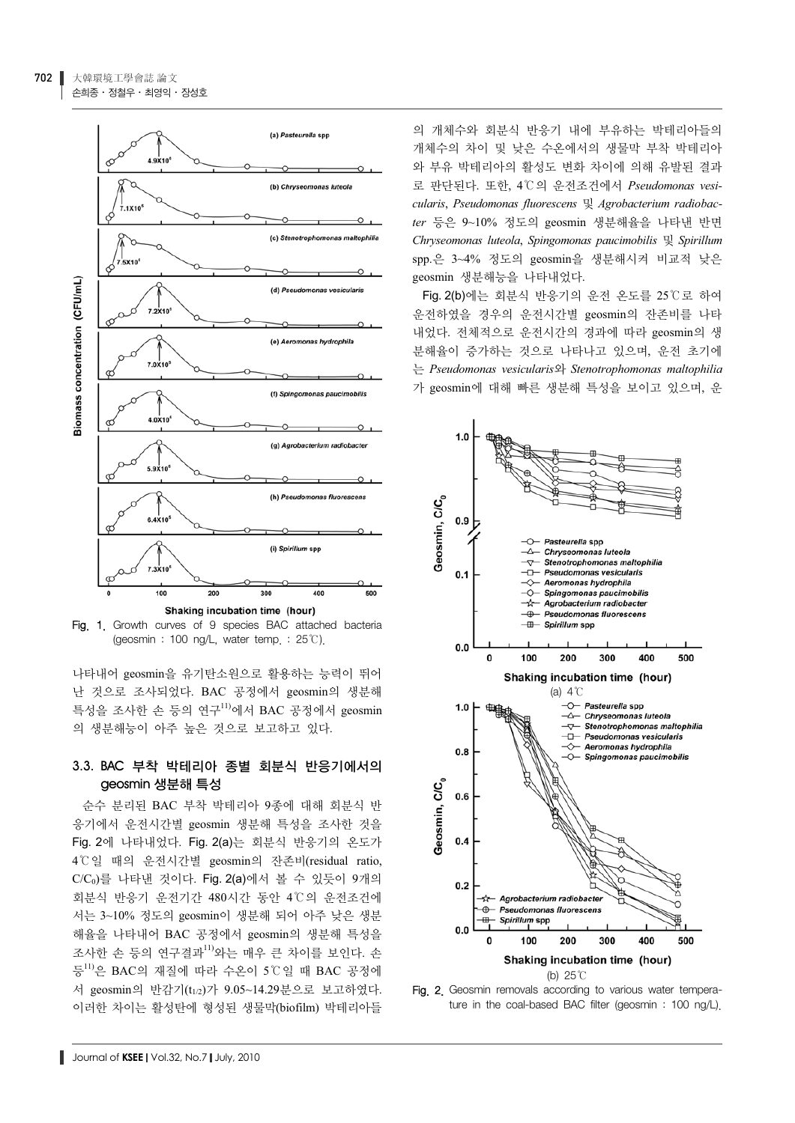

Fig 1 Growth curves of 9 species BAC attached bacteria (geosmin: 100 ng/L, water temp.: 25°C).

나타내어 geosmin을 유기탄소워으로 활용하는 능력이 뛰어 난 것으로 조사되었다. BAC 공정에서 geosmin의 생분해 특성을 조사하 손 등의 여구<sup>11)</sup>에서 BAC 공정에서 geosmin 의 생분해능이 아주 높은 것으로 보고하고 있다.

## 3.3. BAC 부착 박테리아 종별 회분식 반응기에서의 geosmin 생분해 특성

순수 분리된 BAC 부착 박테리아 9종에 대해 회분식 반 응기에서 운전시간별 geosmin 생분해 특성을 조사한 것을 Fig. 2에 나타내었다. Fig. 2(a)는 회분식 반응기의 온도가 4℃일 때의 운전시간별 geosmin의 잔존비(residual ratio,  $C/C<sub>0</sub>$ 를 나타낸 것이다. Fig. 2(a)에서 볼 수 있듯이 9개의 회분식 반응기 운전기간 480시간 동안 4℃의 운전조건에 서는 3~10% 정도의 geosmin이 생분해 되어 아주 낮은 생분 해율을 나타내어 BAC 공정에서 geosmin의 생분해 특성을 조사한 손 등의 연구결과<sup>11)</sup>와는 매우 큰 차이를 보인다. 손 등 $^{11}$ 은 BAC의 재질에 따라 수온이 5℃일 때 BAC 공정에 서 geosmin의 반감기(t1/2)가 9.05~14.29분으로 보고하였다. 이러한 차이는 활성탄에 형성된 생물막(biofilm) 박테리아들

의 개체수와 회부식 반응기 내에 부유하는 박테리아들의 개체수의 차이 및 낮은 수온에서의 생물막 부착 박테리아 와 부유 박테리아의 활성도 변화 차이에 의해 유발된 결과 ಽ❱݉ࡽ݅. ੱ⦽, 4°C᮹ᬕᱥ᳑Õᨱᕽ*Pseudomonas vesicularis*, *Pseudomonas fluorescens* ၰ*Agrobacterium radiobacter* 등은 9~10% 정도의 geosmin 생분해율을 나타낸 반면 *Chryseomonas luteola*, *Spingomonas paucimobilis* ၰ*Spirillum* spp. 은 3~4% 정도의 geosmin을 생분해시켜 비교적 낮은 geosmin 생분해능을 나타내었다.

Fig. 2(b)에는 회분식 반응기의 운전 온도를 25℃로 하여 운전하였을 경우의 운전시간별 geosmin의 잔존비를 나타 내었다. 전체적으로 운전시간의 경과에 따라 geosmin의 생 분해율이 증가하는 것으로 나타나고 있으며, 운전 초기에 ۵*Pseudomonas vesicularis*᪡*Stenotrophomonas maltophilia* 가 geosmin에 대해 빠른 생분해 특성을 보이고 있으며, 운



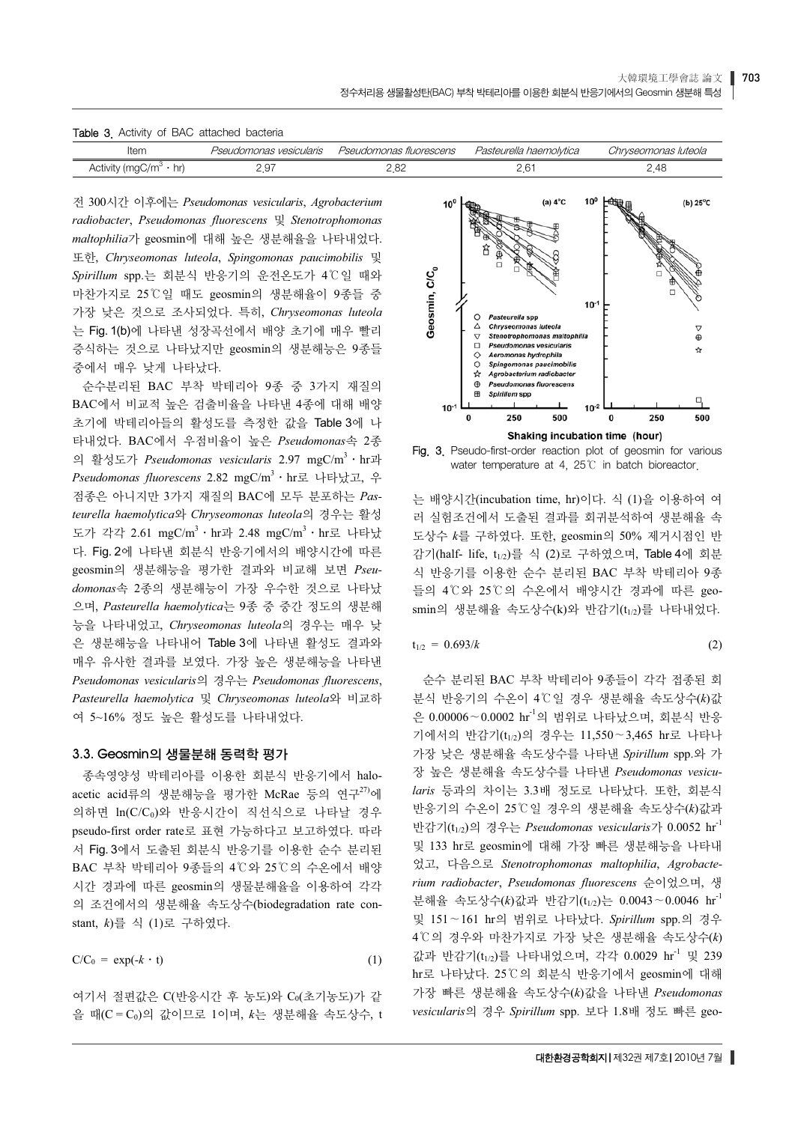| Table 3.                                 | Activity of BAC attached bacteria |                         |                         |                      |
|------------------------------------------|-----------------------------------|-------------------------|-------------------------|----------------------|
| Item                                     | Pseudomonas vesicularis           | Pseudomonas fluorescens | Pasteurella haemolvtica | Chrvseomonas luteola |
| Activity (mgC/m <sup>3</sup> $\cdot$ hr) |                                   |                         | 2 61                    | 2 48                 |

ᱥ300eᯕ⬥ᨱ۵*Pseudomonas vesicularis*, *Agrobacterium radiobacter*, *Pseudomonas fluorescens* ၰ*Stenotrophomonas*  maltophilia가 geosmin에 대해 높은 생분해율을 나타내었다. ੱ⦽, *Chryseomonas luteola*, *Spingomonas paucimobilis* ၰ Spirillum spp.는 회분식 반응기의 운전온도가 4℃일 때와 마찬가지로 25℃일 때도 geosmin의 생분해율이 9종들 중 aᰆԏᮡäᮝಽ᳑ᔍࡹᨩ݅. ✚⯩, *Chryseomonas luteola* 는 Fig. 1(b)에 나타낸 성장곡선에서 배양 초기에 매우 빨리 증식하는 것으로 나타났지만 geosmin의 생분해능은 9종들 중에서 매우 낮게 나타났다.

순수분리된 BAC 부착 박테리아 9종 중 3가지 재질의 BAC에서 비교적 높은 검출비율을 나타내 4종에 대해 배양 초기에 박테리아들의 활성도를 측정한 값을 Table 3에 나 타내었다. BAC에서 우점비율이 높은 Pseudomonas속 2종 의 활성도가 *Pseudomonas vesicularis* 2.97 mgC/m<sup>3</sup>·hr과  $P$ s*eudomonas fluorescens* 2.82 mgC/m<sup>3</sup>·hr로 나타났고, 우 점종은 아니지만 3가지 재질의 BAC에 모두 분포하는 Pasteurella haemolytica와 Chryseomonas luteola의 경우는 활성 도가 각각 2.61 mgC/m<sup>3</sup>·hr과 2.48 mgC/m<sup>3</sup>·hr로 나타났 다. Fig. 2에 나타낸 회분식 반응기에서의 배양시간에 따른 geosmin의 생분해능을 평가한 결과와 비교해 보면 Pseudomonas속 2종의 생분해능이 가장 우수한 것으로 나타났 으며, *Pasteurella haemolvtica*는 9종 중 중간 정도의 생부해 능을 나타내었고, Chryseomonas luteola의 경우는 매우 낮 은 생분해능을 나타내어 Table 3에 나타낸 활성도 결과와 매우 유사한 결과를 보였다. 가장 높은 생분해능을 나타낸 *Pseudomonas vesicularis*᮹Ğᬑ۵*Pseudomonas fluorescens*, *Pasteurella haemolytica* 및 Chryseomonas luteola와 비교하 여 5~16% 정도 높은 활성도를 나타내었다.

### 3.3. Geosmin의 생물분해 동력학 평가

종속영양성 박테리아를 이용한 회분식 반응기에서 haloacetic acid류의 생분해능을 평가한 McRae 등의 여구<sup>27)</sup>에 의하면 ln(C/Co)와 반응시간이 직선식으로 나타날 경우 pseudo-first order rate로 표현 가능하다고 보고하였다. 따라 서 Fig. 3에서 도출된 회분식 반응기를 이용한 순수 분리된 BAC 부착 박테리아 9종들의 4℃와 25℃의 수온에서 배양 시간 경과에 따른 geosmin의 생물분해율을 이용하여 각각 의 조건에서의 생분해율 속도상수(biodegradation rate constant, k)를 식 (1)로 구하였다.

$$
C/C_0 = \exp(-k \cdot t) \tag{1}
$$

여기서 절편값은 C(반응시간 후 농도)와 Co(초기농도)가 같 을 때(C = Co)의 값이므로 1이며, k는 생분해율 속도상수, t



Fig. 3. Pseudo-first-order reaction plot of geosmin for various water temperature at 4,  $25^{\circ}$  in batch bioreactor.

는 배양시간(incubation time, hr)이다. 식 (1)을 이용하여 여 러 실험조건에서 도출된 결과를 회귀분석하여 생분해율 속 도상수  $k$ 를 구하였다. 또한, geosmin의 50% 제거시점인 반 감기(half- life, t<sub>1/2</sub>)를 식 (2)로 구하였으며, Table 4에 회분 식 반응기를 이용한 순수 분리된 BAC 부착 박테리아 9종 들의 4℃와 25℃의 수온에서 배양시간 경과에 따른 geosmin의 생분해율 속도상수(k)와 반감기(t1/2)를 나타내었다.

$$
t_{1/2} = 0.693/k \tag{2}
$$

슈수 분리된 BAC 부착 박테리아 9종들이 각각 접종된 회 분식 반응기의 수온이 4℃일 경우 생분해율 속도상수(k)값 은 0.00006∼0.0002 hr<sup>-1</sup>의 범위로 나타났으며, 회분식 반응 기에서의 반감기(t1/2)의 경우는 11,550∼3,465 hr로 나타나 가장 낮은 생분해율 속도상수를 나타낸 Spirillum spp.와 가 ᰆ׳ᮡᔾᇥ⧕ᮉᗮࠥᔢᙹෝӹ┡ԙ*Pseudomonas vesicu*laris 등과의 차이는 3.3배 정도로 나타났다. 또한, 회분식 반응기의 수온이 25℃일 경우의 생분해율 속도상수(k)값과 반감기(t<sub>1/2</sub>)의 경우는 *Pseudomonas vesicularis*가 0.0052 hr<sup>-1</sup> 및 133 hr로 geosmin에 대해 가장 빠른 생분해능을 나타내 ᨩŁ, ݅ᮭᮝಽ *Stenotrophomonas maltophilia*, *Agrobacterium radiobacter*, *Pseudomonas fluorescens* 순이었으며, 생 분해율 속도상수(k)값과 반감기(t<sub>1/2</sub>)는 0.0043∼0.0046 hr<sup>-1</sup> 및 151∼161 hr의 범위로 나타났다. Spirillum spp.의 경우 4℃의 경우와 마찬가지로 가장 낮은 생분해율 속도상수(k) 값과 반감기(t<sub>1/2</sub>)를 나타내었으며, 각각 0.0029 hr<sup>-1</sup> 및 239 hr로 나타났다. 25℃의 회분식 반응기에서 geosmin에 대해 가장 빠른 생분해율 속도상수(k)값을 나타낸 Pseudomonas *vesicularis*᮹Ğᬑ*Spirillum* spp. ᅕ݅1.8႑ᱶࠥෙgeo-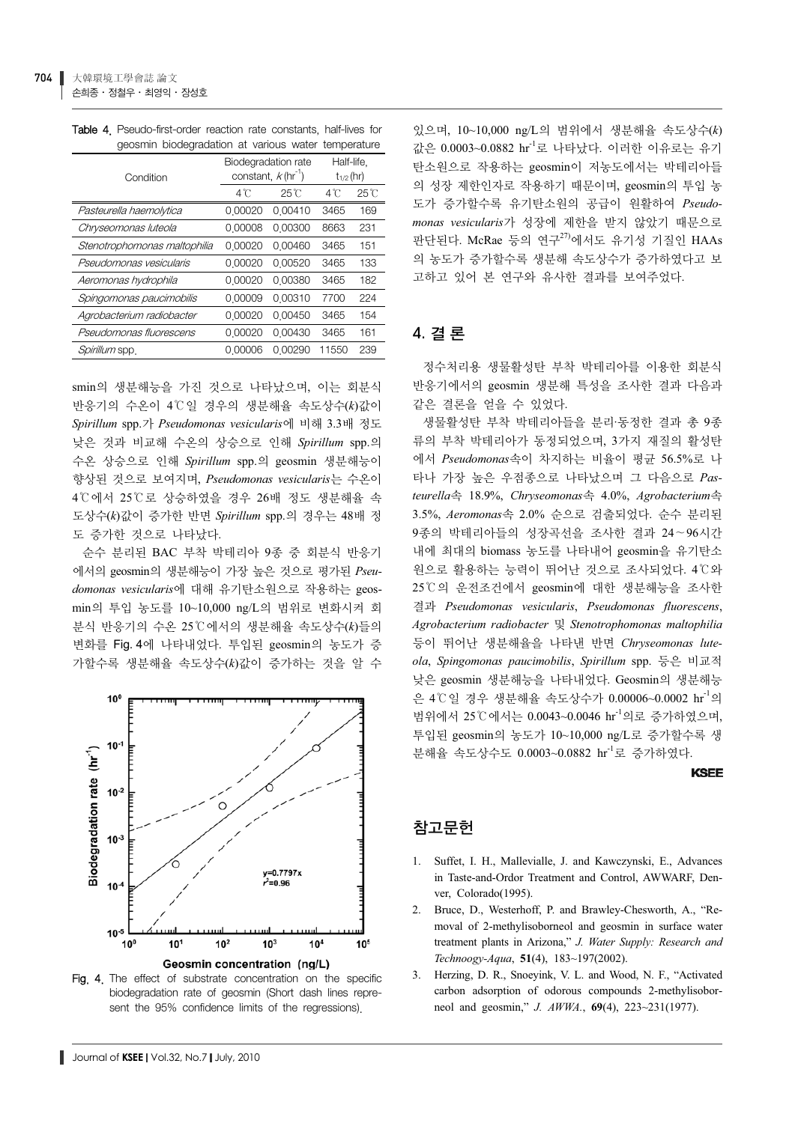| ັ<br>ັ                       |               |                                                      |                              |      |
|------------------------------|---------------|------------------------------------------------------|------------------------------|------|
| Condition                    |               | Biodegradation rate<br>constant, $k(\text{hr}^{-1})$ | Half-life,<br>$t_{1/2}$ (hr) |      |
|                              | $4^{\circ}$ C | 25°C                                                 | $4^{\circ}$ C                | 25°C |
| Pasteurella haemolytica      | 0 00020       | 0 0 0 4 1 0                                          | 3465                         | 169  |
| Chryseomonas luteola         | 0.00008       | 0.00300                                              | 8663                         | 231  |
| Stenotrophomonas maltophilia | 0 00020       | 0 00460                                              | 3465                         | 151  |
| Pseudomonas vesicularis      | 0 00020       | 0 00520                                              | 3465                         | 133  |
| Aeromonas hydrophila         | 0.00020       | 0.00380                                              | 3465                         | 182  |
| Spingomonas paucimobilis     | 0 00009       | 0 00310                                              | 7700                         | 224  |
| Agrobacterium radiobacter    | 0 00020       | 0 0 0 4 5 0                                          | 3465                         | 154  |
| Pseudomonas fluorescens      | 0 00020       | 0 0 0 4 3 0                                          | 3465                         | 161  |
| Spirillum spp.               | 0.00006       | 0.00290                                              | 11550                        | 239  |
|                              |               |                                                      |                              |      |

Table 4 Pseudo-first-order reaction rate constants, half-lives for deosmin biodeoradation at various water temperature

smin의 생분해능을 가진 것으로 나타났으며, 이는 회분식 반응기의 수온이 4℃일 경우의 생분해율 속도상수(k)값이 *Spirillum* spp.가 *Pseudomonas vesicularis*에 비해 3.3배 정도 낮은 것과 비교해 수온의 상승으로 인해 Spirillum spp.의 수온 상승으로 인해 Spirillum spp.의 geosmin 생분해능이 향상된 것으로 보여지며, *Pseudomonas vesicularis*는 수온이 4℃에서 25℃로 상승하였을 경우 26배 정도 생분해율 속 도상수(k)값이 증가한 반면 Spirillum spp.의 경우는 48배 정 도 증가한 것으로 나타났다.

순수 분리된 BAC 부착 박테리아 9종 중 회분식 반응기 에서의 geosmin의 생분해능이 가장 높은 것으로 평가된 Pseudomonas vesicularis에 대해 유기탄소원으로 작용하는 geosmin의 투입 농도를 10~10,000 ng/L의 범위로 변화시켜 회 분식 반응기의 수온 25℃에서의 생분해율 속도상수(k)들의 변화를 Fig. 4에 나타내었다. 투입된 geosmin의 농도가 증 가할수록 생분해율 속도상수(k)값이 증가하는 것을 알 수



Fig. 4. The effect of substrate concentration on the specific biodegradation rate of geosmin (Short dash lines represent the 95% confidence limits of the regressions).

있으며, 10~10,000 ng/L의 범위에서 생분해율 속도상수(k) 값은 0.0003~0.0882 hr<sup>-1</sup>로 나타났다. 이러한 이유로는 유기 탄소원으로 작용하는 geosmin이 저농도에서는 박테리아들 의 성장 제한인자로 작용하기 때문이며, geosmin의 투입 농 도가 증가할수록 유기탄소원의 공급이 원활하여 Pseudomonas vesicularis가 성장에 제한을 받지 않았기 때문으로 판단된다. McRae 등의 연구<sup>27)</sup>에서도 유기성 기질인 HAAs 의 농도가 증가할수록 생분해 속도상수가 증가하였다고 보 고하고 있어 본 연구와 유사한 결과를 보여주었다.

# 4. 결론

정수처리용 생물활성탄 부착 박테리아를 이용한 회분식 반응기에서의 geosmin 생분해 특성을 조사한 결과 다음과 같은 결론을 얻을 수 있었다.

생물활성탄 부착 박테리아들을 분리 동정한 결과 총 9종 류의 부착 박테리아가 동정되었으며, 3가지 재질의 활성탄 에서 Pseudomonas속이 차지하는 비율이 평균 56.5%로 나 타나 가장 높은 우점종으로 나타났으며 그 다음으로 Pasteurella속 18.9%, *Chryseomonas*속 4.0%, *Agrobacterium*속 3.5%, Aeromonas속 2.0% 순으로 검출되었다. 순수 분리된 9종의 박테리아들의 성장곡선을 조사한 결과 24∼96시간 내에 최대의 biomass 농도를 나타내어 geosmin을 유기탄소 원으로 활용하는 능력이 뛰어난 것으로 조사되었다. 4℃와 25℃의 운전조건에서 geosmin에 대한 생분해능을 조사한 đŝ *Pseudomonas vesicularis*, *Pseudomonas fluorescens*, *Agrobacterium radiobacter* ၰ*Stenotrophomonas maltophilia* 등이 뛰어난 생분해율을 나타낸 반면 Chryseomonas lute*ola*, *Spingomonas paucimobilis*, *Spirillum* spp. 등은 비교적 낮은 geosmin 생분해능을 나타내었다. Geosmin의 생분해능 은 4℃일 경우 생분해율 속도상수가 0.00006~0.0002 hr<sup>1</sup>의 범위에서 25℃에서는 0.0043~0.0046 hr<sup>-1</sup>의로 증가하였으며, 투입된 geosmin의 농도가 10~10,000 ng/L로 증가할수록 생 부해율 속도상수도 0.0003~0.0882 hr<sup>-1</sup>로 증가하였다.

**KSEE** 

# 참고문헌

- 1. Suffet, I. H., Mallevialle, J. and Kawczynski, E., Advances in Taste-and-Ordor Treatment and Control, AWWARF, Denver, Colorado(1995).
- 2. Bruce, D., Westerhoff, P. and Brawley-Chesworth, A., "Removal of 2-methylisoborneol and geosmin in surface water treatment plants in Arizona," *J. Water Supply: Research and Technoogy-Aqua*, **51**(4), 183~197(2002).
- 3. Herzing, D. R., Snoeyink, V. L. and Wood, N. F., "Activated carbon adsorption of odorous compounds 2-methylisoborneol and geosmin," *J. AWWA.*, **69**(4), 223~231(1977).